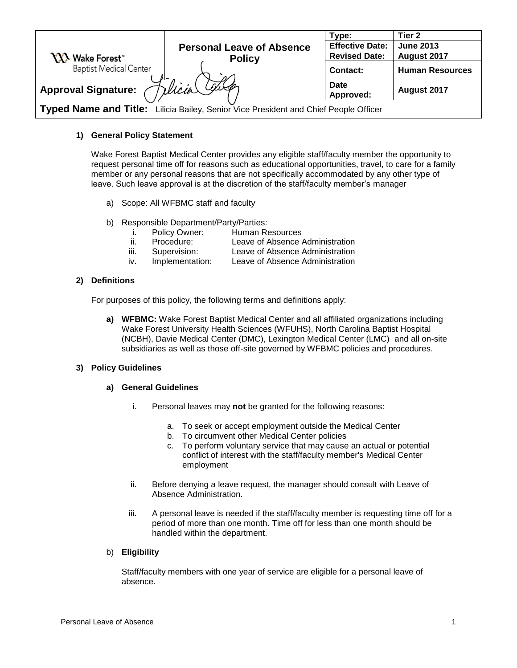|                                                                                      |                                  | Type:                  | Tier <sub>2</sub>      |
|--------------------------------------------------------------------------------------|----------------------------------|------------------------|------------------------|
|                                                                                      | <b>Personal Leave of Absence</b> | <b>Effective Date:</b> | <b>June 2013</b>       |
| <b>YY's</b> Wake Forest                                                              | <b>Policy</b>                    | <b>Revised Date:</b>   | August 2017            |
| <b>Baptist Medical Center</b>                                                        | مرہ                              | <b>Contact:</b>        | <b>Human Resources</b> |
| <b>Approval Signature:</b>                                                           | Wicia Calley                     | Date<br>Approved:      | August 2017            |
| Typed Name and Title: Lilicia Bailey, Senior Vice President and Chief People Officer |                                  |                        |                        |

# **1) General Policy Statement**

Wake Forest Baptist Medical Center provides any eligible staff/faculty member the opportunity to request personal time off for reasons such as educational opportunities, travel, to care for a family member or any personal reasons that are not specifically accommodated by any other type of leave. Such leave approval is at the discretion of the staff/faculty member's manager

- a) Scope: All WFBMC staff and faculty
- b) Responsible Department/Party/Parties:
	- i. Policy Owner: Human Resources<br>ii. Procedure: Leave of Absence
	- ii. Procedure: Leave of Absence Administration
	- iii. Supervision: Leave of Absence Administration
	- iv. Implementation: Leave of Absence Administration

# **2) Definitions**

For purposes of this policy, the following terms and definitions apply:

**a) WFBMC:** Wake Forest Baptist Medical Center and all affiliated organizations including Wake Forest University Health Sciences (WFUHS), North Carolina Baptist Hospital (NCBH), Davie Medical Center (DMC), Lexington Medical Center (LMC) and all on-site subsidiaries as well as those off-site governed by WFBMC policies and procedures.

## **3) Policy Guidelines**

## **a) General Guidelines**

- i. Personal leaves may **not** be granted for the following reasons:
	- a. To seek or accept employment outside the Medical Center
	- b. To circumvent other Medical Center policies
	- c. To perform voluntary service that may cause an actual or potential conflict of interest with the staff/faculty member's Medical Center employment
- ii. Before denying a leave request, the manager should consult with Leave of Absence Administration.
- iii. A personal leave is needed if the staff/faculty member is requesting time off for a period of more than one month. Time off for less than one month should be handled within the department.

## b) **Eligibility**

Staff/faculty members with one year of service are eligible for a personal leave of absence.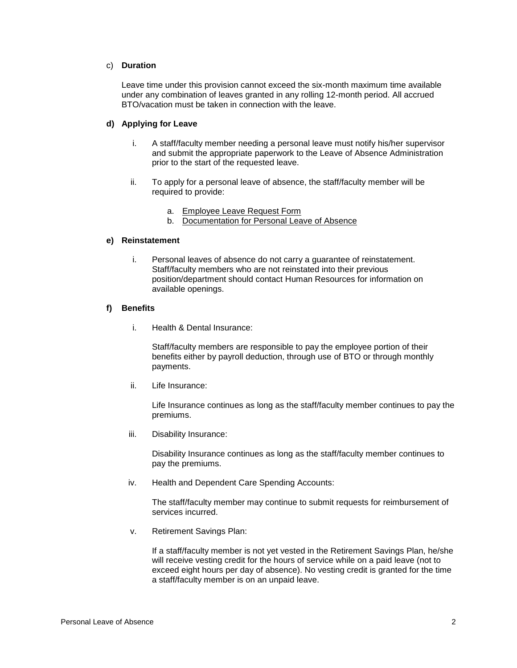## c) **Duration**

Leave time under this provision cannot exceed the six-month maximum time available under any combination of leaves granted in any rolling 12-month period. All accrued BTO/vacation must be taken in connection with the leave.

# **d) Applying for Leave**

- i. A staff/faculty member needing a personal leave must notify his/her supervisor and submit the appropriate paperwork to the Leave of Absence Administration prior to the start of the requested leave.
- ii. To apply for a personal leave of absence, the staff/faculty member will be required to provide:
	- a. [Employee Leave Request Form](http://intranet.wakehealth.edu/Departments/Human-Resources/Forms/NCBH/Leave-Request-Form.htm)
	- b. [Documentation for Personal Leave of Absence](http://intranet.wakehealth.edu/WorkArea/DownloadAsset.aspx?id=23622330985)

## **e) Reinstatement**

i. Personal leaves of absence do not carry a guarantee of reinstatement. Staff/faculty members who are not reinstated into their previous position/department should contact Human Resources for information on available openings.

#### **f) Benefits**

i. Health & Dental Insurance:

Staff/faculty members are responsible to pay the employee portion of their benefits either by payroll deduction, through use of BTO or through monthly payments.

ii. Life Insurance:

Life Insurance continues as long as the staff/faculty member continues to pay the premiums.

iii. Disability Insurance:

Disability Insurance continues as long as the staff/faculty member continues to pay the premiums.

iv. Health and Dependent Care Spending Accounts:

The staff/faculty member may continue to submit requests for reimbursement of services incurred.

v. Retirement Savings Plan:

If a staff/faculty member is not yet vested in the Retirement Savings Plan, he/she will receive vesting credit for the hours of service while on a paid leave (not to exceed eight hours per day of absence). No vesting credit is granted for the time a staff/faculty member is on an unpaid leave.